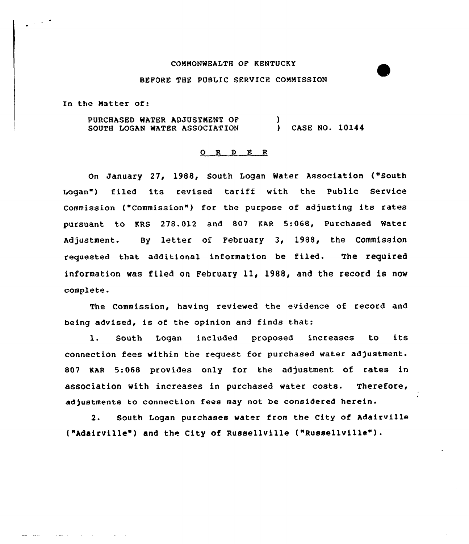#### CONNONWEALTH OF KENTUCKY

### BEFORE THE PUBLIC SERVICE CONNISSION

In the Natter of:

PURCHASED WATER ADJUSTNENT OF SOUTH LOGAN WATER ASSOCIATION ) ) CASE NO. 10144

#### 0 <sup>R</sup> 9 E <sup>R</sup>

On January 27, 1988, South Logan Water Association ("South Logan") filed its revised tariff with the Public Service Commission ("Commission") for the purpose of adjusting its rates pursuant to KRS 278.012 and 807 KAR 5:068, Purchased Water Adjustment. By letter of February 3, 1988, the Commission requested that additional information be filed. The required information was filed on February 11, 1988, and the record is now complete.

The Commission, having reviewed the evidence of record and being advised, is of the opinion and finds that:

l. South Logan included proposed increases to its connection fees within tne request for purchased water adjustment. 807 EAR 5:068 provides only for the adjustment of rates in association with increases in purchased water costs. Therefore, adjustments to connection fees may not be considered herein.

2. South Logan purchases water from the City of Adairville ("Adairville") and the City of Russellville ("Russellville") .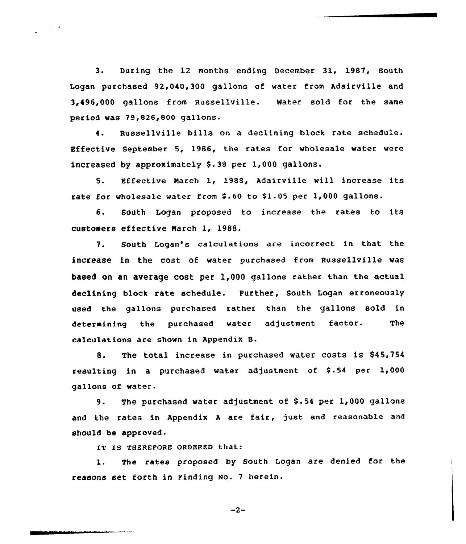3. During the 12 months ending December 31, 1987, South Logan purchased 92,040,300 gallons of water from Adairville and 3,496,000 gallons from Russellville. Water sold for the same period was 79,826,800 gallons.

 $\sim$   $\sim$ 

4. Russellville bills on a declining block rate schedule. Effective September 5, 1986, the rates for wholesale water were increased by approximately  $$.38$  per 1,000 gallons.

5. Effective March 1, 1988, Adairville vill increase its rate for wholesale water from \$.60 to \$1.05 per 1,000 gallons.

6. South Logan proposed to increase the rates to its customers effective Narch 1, 1988.

7. South Logan's calculations are incorrect in that the increase in the cost of water purchased from Russellville was based on an avetage cost per 1,000 ga11ons rather than the actual declining block rate schedule. Further, South Logan erroneously used the gallons purchased rather than the gallons sold in determining the purchased water adjustment factor. The calculations are shown in Appendix B.

8. The total increase in purchased water costs is \$45,754 resulting in a purchased water adjustment of \$.54 per 1,000 gallons of water.

9. The purchased water adjustment of \$.54 per 1,000 gallons and the rates in Appendix <sup>A</sup> are fair, just. and reasonable and should be approved.

IT IS THEREFORE ORDERED that:

1. The rates proposed by South Logan are denied for the reasons set forth in Finding No. 7 herein.

 $-2-$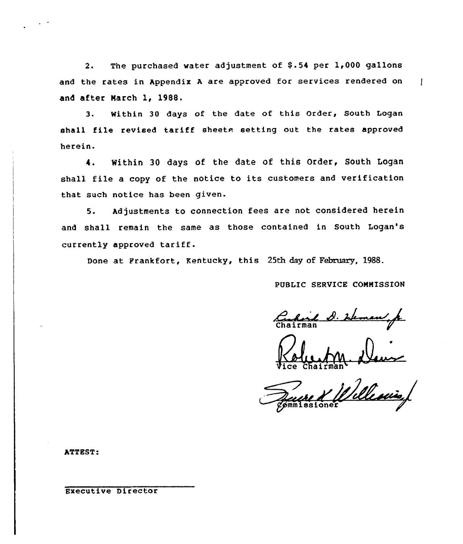2. The purchased water adjustment of \$.54 per 1,000 gallons and the rates in Appendix <sup>A</sup> are approved for services rendered on and after March 1, 1988.

3. Within 30 days of the date of this Order, South Logan shall file revised tariff sheets setting out the rates approved herein.

4. Within 30 days of the date of this Order, South Logan shall, file <sup>a</sup> copy of the notice to its customers and verification that such notice has been given.

5. Adjustments to connection fees are not considered herein and shall remain the same as those contained in South Logan's currently approved tariff.

Done at Frankfort, Kentucky, this 25th day of February, 1988.

PUBLIC SERUICE COMMISSION

Ŧ

Carloi 2. Heman f

Vice Chairman

ATTEST:

Executive Director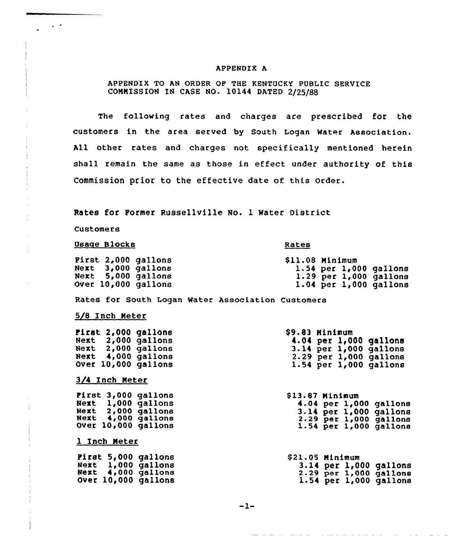#### APPENDIX A

### APPENDIX TO AN ORDER OP THE KENTUCKY PUBLIC SERVICE CONNISS ION IN CASE NO. 10144 DATED 2/25/88

The following rates and charges are prescribed for the customers in the area served by south Logan water Association. All other rates and charges not specifically mentioned herein shall remain the same as those in effect under authority of this Commission prior to the effective date of this order.

Rates for Former Russellville No. 1 Water District

Customers

 $\sim$   $\sim$ 

#### Usage Blocks

#### Rates

|      | First 2,000 gallons |
|------|---------------------|
| Next | $3,000$ gallons     |
| Next | 5,000 gallons       |
|      | Over 10,000 gallons |

\$ 11.08 Minimum 1.54 per 1,000 gallons 1.29 per 1,000 gallons 1.04 per 1,000 gallons

Rates for South Logan Water Association Customers

#### 5/8 Inch Meter

| First 2,000 gallons        | \$9.83 Minimum             |
|----------------------------|----------------------------|
| Next 2,000 gallons         | $4.04$ per 1,000 gallons   |
| Next 2,000 gallons         | 3.14 per 1,000 gallons     |
| Next 4,000 gallons         | $2.29$ per $1,000$ gallons |
| <b>Over 10,000 gallons</b> | $1.54$ per $1,000$ gallons |
| 3/4 Inch Meter             |                            |
| First 3,000 gallons        | \$13.87 Minimum            |
| Next 1,000 gallons         | 4.04 per $1,000$ gallons   |
| Next 2,000 gallons         | 3.14 per 1,000 gallons     |
| Next 4,000 gallons         | 2.29 per 1,000 gallons     |
| Over 10,000 gallons        | 1.54 per 1,000 gallons     |
| 1 Inch Meter               |                            |

|      | First 5,000 gallons |
|------|---------------------|
|      | Next 1,000 gallons  |
| Next | $4,000$ gallons     |
|      | Over 10,000 gallons |

\$21.05 Minimum<br>3.14 per 1,000 gallons<br>2.29 per 1,000 gallons<br>1.54 per 1,000 gallons

بطارعا ووجاد والمناصر ستنصر

 $-1-$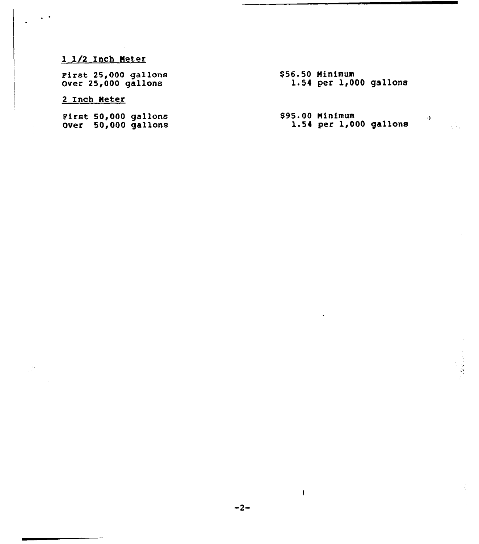# 1 1/2 Inch Neter

First 25,000 gallon Over 25,000 gallon

# 2 Inch Neter

First 50,000 gallons Over 50,000 gallon \$56.50 Minimum 1.54 per 1,000 gallons

\$95.00 Minimum<br>1.54 per 1,000 gallons

 $\rightarrow$ 

 $\frac{1}{2} \frac{d}{dx} \sqrt{2}$ 

 $\mathbf{l}$